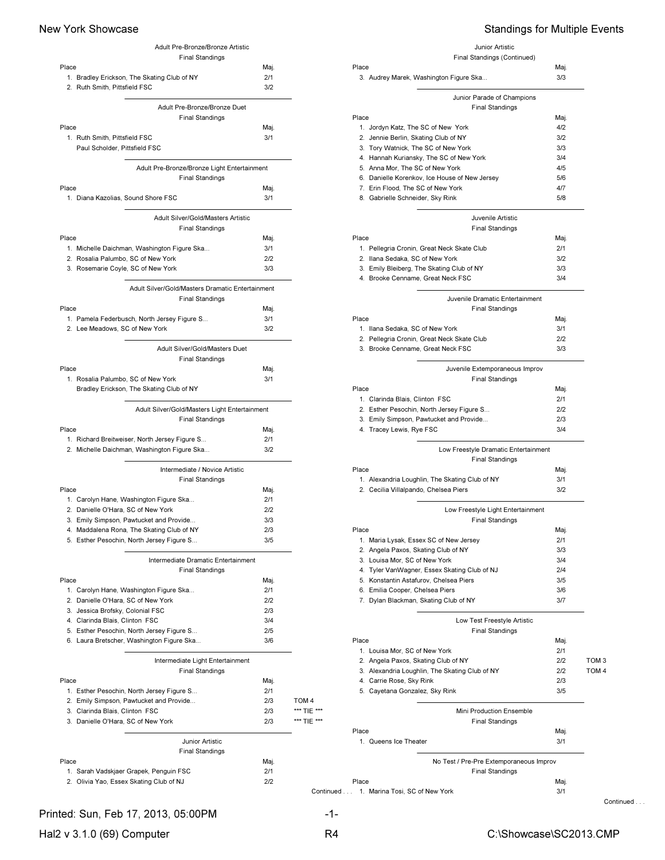| Adult Pre-Bronze/Bronze Artistic                                                  |            |             |
|-----------------------------------------------------------------------------------|------------|-------------|
| <b>Final Standings</b>                                                            |            |             |
| Place                                                                             | Maj.       |             |
| 1. Bradley Erickson, The Skating Club of NY                                       | 2/1        |             |
| 2. Ruth Smith, Pittsfield FSC                                                     | 3/2        |             |
| Adult Pre-Bronze/Bronze Duet                                                      |            |             |
| <b>Final Standings</b>                                                            |            |             |
| Place                                                                             | Maj.       |             |
| 1. Ruth Smith, Pittsfield FSC                                                     | 3/1        |             |
| Paul Scholder, Pittsfield FSC                                                     |            |             |
|                                                                                   |            |             |
| Adult Pre-Bronze/Bronze Light Entertainment                                       |            |             |
| <b>Final Standings</b>                                                            |            |             |
| Place                                                                             | Maj.       |             |
| 1. Diana Kazolias, Sound Shore FSC                                                | 3/1        |             |
| Adult Silver/Gold/Masters Artistic                                                |            |             |
| <b>Final Standings</b>                                                            |            |             |
| Place                                                                             | Maj.       |             |
| 1. Michelle Daichman, Washington Figure Ska                                       | 3/1        |             |
| 2. Rosalia Palumbo, SC of New York                                                | 2/2        |             |
| 3. Rosemarie Coyle, SC of New York                                                | 3/3        |             |
|                                                                                   |            |             |
| Adult Silver/Gold/Masters Dramatic Entertainment                                  |            |             |
| <b>Final Standings</b>                                                            |            |             |
| Place                                                                             | Maj.       |             |
| 1. Pamela Federbusch, North Jersey Figure S                                       | 3/1        |             |
| 2. Lee Meadows, SC of New York                                                    | 3/2        |             |
| Adult Silver/Gold/Masters Duet                                                    |            |             |
| <b>Final Standings</b>                                                            |            |             |
| Place                                                                             | Maj.       |             |
| 1. Rosalia Palumbo, SC of New York                                                | 3/1        |             |
| Bradley Erickson, The Skating Club of NY                                          |            |             |
|                                                                                   |            |             |
| Adult Silver/Gold/Masters Light Entertainment                                     |            |             |
| <b>Final Standings</b>                                                            |            |             |
| Place                                                                             | Maj.       |             |
| 1. Richard Breitweiser, North Jersey Figure S                                     | 2/1        |             |
| 2. Michelle Daichman, Washington Figure Ska                                       | 3/2        |             |
| Intermediate / Novice Artistic                                                    |            |             |
| <b>Final Standings</b>                                                            |            |             |
| Place                                                                             | Maj.       |             |
| 1. Carolyn Hane, Washington Figure Ska                                            | 2/1        |             |
| 2. Danielle O'Hara, SC of New York                                                | 2/2        |             |
| 3. Emily Simpson, Pawtucket and Provide                                           | 3/3        |             |
| 4. Maddalena Rona, The Skating Club of NY                                         | 2/3        |             |
| 5. Esther Pesochin, North Jersey Figure S                                         | 3/5        |             |
|                                                                                   |            |             |
| Intermediate Dramatic Entertainment                                               |            |             |
| <b>Final Standings</b>                                                            |            |             |
| Place                                                                             | Maj.       |             |
| 1. Carolyn Hane, Washington Figure Ska                                            | 2/1        |             |
| 2. Danielle O'Hara, SC of New York                                                | 2/2        |             |
| 3. Jessica Brofsky, Colonial FSC                                                  | 2/3        |             |
| 4. Clarinda Blais, Clinton FSC                                                    | 3/4        |             |
| 5. Esther Pesochin, North Jersey Figure S                                         | 2/5<br>3/6 |             |
| 6. Laura Bretscher, Washington Figure Ska                                         |            |             |
| Intermediate Light Entertainment                                                  |            |             |
| <b>Final Standings</b>                                                            |            |             |
| Place                                                                             | Maj.       |             |
| 1. Esther Pesochin, North Jersey Figure S                                         | 2/1        |             |
| 2. Emily Simpson, Pawtucket and Provide                                           | 2/3        | TOM 4       |
| 3. Clarinda Blais, Clinton FSC                                                    | 2/3        | *** TIE *** |
| 3. Danielle O'Hara, SC of New York                                                | 2/3        | *** TIE *** |
|                                                                                   |            |             |
| Junior Artistic                                                                   |            |             |
| <b>Final Standings</b>                                                            |            |             |
| Place                                                                             | Maj.       |             |
|                                                                                   |            |             |
| 1. Sarah Vadskjaer Grapek, Penguin FSC<br>2. Olivia Yao, Essex Skating Club of NJ | 2/1<br>2/2 |             |

# New York Showcase **Standings for Multiple Events**

Junior Artistic Final Standings (Continued)

| Place                                         | Maj. |
|-----------------------------------------------|------|
| 3. Audrey Marek, Washington Figure Ska        | 3/3  |
| Junior Parade of Champions                    |      |
| <b>Final Standings</b>                        |      |
| Place                                         | Maj. |
| Jordyn Katz, The SC of New York<br>1.         | 4/2  |
| 2. Jennie Berlin, Skating Club of NY          | 3/2  |
| 3. Tory Watnick, The SC of New York           | 3/3  |
| 4. Hannah Kuriansky, The SC of New York       | 3/4  |
| 5. Anna Mor, The SC of New York               | 4/5  |
| 6. Danielle Korenkov, Ice House of New Jersey | 5/6  |

|       | 7. Erin Flood, The SC of New York              | 4/7  |                  |
|-------|------------------------------------------------|------|------------------|
|       | 8. Gabrielle Schneider, Sky Rink               | 5/8  |                  |
|       | Juvenile Artistic                              |      |                  |
|       | <b>Final Standings</b>                         |      |                  |
| Place |                                                | Maj. |                  |
|       | 1. Pellegria Cronin, Great Neck Skate Club     | 2/1  |                  |
|       | 2. Ilana Sedaka, SC of New York                | 3/2  |                  |
|       | 3. Emily Bleiberg, The Skating Club of NY      | 3/3  |                  |
|       | 4. Brooke Cenname, Great Neck FSC              | 3/4  |                  |
|       | Juvenile Dramatic Entertainment                |      |                  |
|       | <b>Final Standings</b>                         |      |                  |
| Place |                                                | Maj. |                  |
|       | 1. Ilana Sedaka, SC of New York                | 3/1  |                  |
|       | 2. Pellegria Cronin, Great Neck Skate Club     | 2/2  |                  |
|       | 3. Brooke Cenname, Great Neck FSC              | 3/3  |                  |
|       | Juvenile Extemporaneous Improv                 |      |                  |
|       | <b>Final Standings</b>                         |      |                  |
| Place |                                                | Maj. |                  |
|       | 1. Clarinda Blais, Clinton FSC                 | 2/1  |                  |
|       | 2. Esther Pesochin, North Jersey Figure S      | 2/2  |                  |
|       | 3. Emily Simpson, Pawtucket and Provide        | 2/3  |                  |
|       | 4. Tracey Lewis, Rye FSC                       | 3/4  |                  |
|       | Low Freestyle Dramatic Entertainment           |      |                  |
|       | <b>Final Standings</b>                         |      |                  |
| Place |                                                | Maj. |                  |
|       | 1. Alexandria Loughlin, The Skating Club of NY | 3/1  |                  |
|       | 2. Cecilia Villalpando, Chelsea Piers          | 3/2  |                  |
|       | Low Freestyle Light Entertainment              |      |                  |
|       | <b>Final Standings</b>                         |      |                  |
| Place |                                                | Maj. |                  |
|       | 1. Maria Lysak, Essex SC of New Jersey         | 2/1  |                  |
|       | 2. Angela Paxos, Skating Club of NY            | 3/3  |                  |
|       | 3. Louisa Mor, SC of New York                  | 3/4  |                  |
|       | 4. Tyler VanWagner, Essex Skating Club of NJ   | 2/4  |                  |
|       | 5. Konstantin Astafurov, Chelsea Piers         | 3/5  |                  |
|       | 6. Emilia Cooper, Chelsea Piers                | 3/6  |                  |
|       | 7. Dylan Blackman, Skating Club of NY          | 3/7  |                  |
|       | Low Test Freestyle Artistic                    |      |                  |
|       | <b>Final Standings</b>                         |      |                  |
| Place |                                                | Maj. |                  |
|       | 1. Louisa Mor, SC of New York                  | 2/1  |                  |
|       | 2. Angela Paxos, Skating Club of NY            | 2/2  | TOM <sub>3</sub> |
|       | 3. Alexandria Loughlin, The Skating Club of NY | 2/2  | TOM <sub>4</sub> |
|       | 4. Carrie Rose, Sky Rink                       | 2/3  |                  |
|       | 5. Cayetana Gonzalez, Sky Rink                 | 3/5  |                  |
|       |                                                |      |                  |

| Mini Production Ensemble                        |
|-------------------------------------------------|
| <b>Final Standings</b>                          |
| Place<br>Maj.                                   |
| 1. Queens Ice Theater<br>3/1                    |
| No Test / Pre-Pre Extemporaneous Improv         |
| <b>Final Standings</b>                          |
| Place<br>Maj.                                   |
| 1. Marina Tosi, SC of New York<br>3/1<br>$\sim$ |
|                                                 |

Continued ...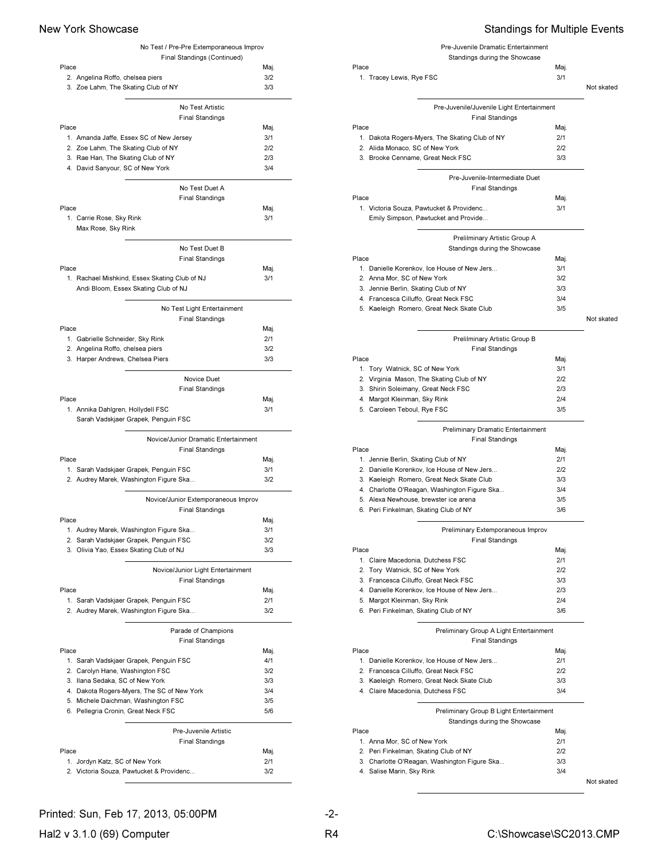|                                                                                   | No Test / Pre-Pre Extemporaneous Improv |             |
|-----------------------------------------------------------------------------------|-----------------------------------------|-------------|
|                                                                                   | Final Standings (Continued)             |             |
| Place                                                                             |                                         | Maj.        |
| 2. Angelina Roffo, chelsea piers                                                  |                                         | 3/2         |
| 3. Zoe Lahm, The Skating Club of NY                                               |                                         | 3/3         |
|                                                                                   | No Test Artistic                        |             |
|                                                                                   | <b>Final Standings</b>                  |             |
| Place                                                                             |                                         | Maj.        |
| 1. Amanda Jaffe, Essex SC of New Jersey                                           |                                         | 3/1         |
| 2. Zoe Lahm, The Skating Club of NY                                               |                                         | 2/2         |
| 3. Rae Han, The Skating Club of NY                                                |                                         | 2/3         |
| 4. David Sanyour, SC of New York                                                  |                                         | 3/4         |
|                                                                                   |                                         |             |
|                                                                                   | No Test Duet A                          |             |
|                                                                                   | <b>Final Standings</b>                  |             |
| Place                                                                             |                                         | Maj.        |
| 1. Carrie Rose, Sky Rink<br>Max Rose, Sky Rink                                    |                                         | 3/1         |
|                                                                                   |                                         |             |
|                                                                                   | No Test Duet B                          |             |
|                                                                                   | <b>Final Standings</b>                  |             |
| Place                                                                             |                                         | Maj.        |
| 1. Rachael Mishkind, Essex Skating Club of NJ                                     |                                         | 3/1         |
| Andi Bloom, Essex Skating Club of NJ                                              |                                         |             |
|                                                                                   |                                         |             |
|                                                                                   | No Test Light Entertainment             |             |
| Place                                                                             | <b>Final Standings</b>                  |             |
| 1. Gabrielle Schneider, Sky Rink                                                  |                                         | Maj.<br>2/1 |
| 2. Angelina Roffo, chelsea piers                                                  |                                         | 3/2         |
| 3. Harper Andrews, Chelsea Piers                                                  |                                         | 3/3         |
|                                                                                   |                                         |             |
|                                                                                   | Novice Duet                             |             |
|                                                                                   | <b>Final Standings</b>                  |             |
| Place                                                                             |                                         | Maj.        |
| 1. Annika Dahlgren, Hollydell FSC                                                 |                                         | 3/1         |
| Sarah Vadskjaer Grapek, Penguin FSC                                               |                                         |             |
|                                                                                   |                                         |             |
|                                                                                   |                                         |             |
|                                                                                   | Novice/Junior Dramatic Entertainment    |             |
|                                                                                   | <b>Final Standings</b>                  |             |
| Place                                                                             |                                         | Maj.<br>3/1 |
| 1. Sarah Vadskjaer Grapek, Penguin FSC<br>2. Audrey Marek, Washington Figure Ska  |                                         | 3/2         |
|                                                                                   |                                         |             |
|                                                                                   | Novice/Junior Extemporaneous Improv     |             |
|                                                                                   | <b>Final Standings</b>                  |             |
| Place                                                                             |                                         | Maj.        |
| 1. Audrey Marek, Washington Figure Ska                                            |                                         | 3/1         |
| 2. Sarah Vadskjaer Grapek, Penguin FSC                                            |                                         | 3/2         |
| 3. Olivia Yao, Essex Skating Club of NJ                                           |                                         | 3/3         |
|                                                                                   | Novice/Junior Light Entertainment       |             |
|                                                                                   | <b>Final Standings</b>                  |             |
| Place                                                                             |                                         | Maj.        |
| 1. Sarah Vadskjaer Grapek, Penguin FSC                                            |                                         | 2/1         |
| 2. Audrey Marek, Washington Figure Ska                                            |                                         | 3/2         |
|                                                                                   |                                         |             |
|                                                                                   | Parade of Champions                     |             |
|                                                                                   | <b>Final Standings</b>                  |             |
| Place                                                                             |                                         | Maj.        |
| 1. Sarah Vadskjaer Grapek, Penguin FSC                                            |                                         | 4/1         |
| 2. Carolyn Hane, Washington FSC                                                   |                                         | 3/2<br>3/3  |
| 3. Ilana Sedaka, SC of New York                                                   |                                         | 3/4         |
| 4. Dakota Rogers-Myers, The SC of New York<br>5. Michele Daichman, Washington FSC |                                         | 3/5         |
| 6. Pellegria Cronin, Great Neck FSC                                               |                                         | 5/6         |
|                                                                                   |                                         |             |
|                                                                                   | Pre-Juvenile Artistic                   |             |
|                                                                                   | <b>Final Standings</b>                  |             |
| Place                                                                             |                                         | Maj.        |
| 1. Jordyn Katz, SC of New York<br>2. Victoria Souza, Pawtucket & Providenc        |                                         | 2/1<br>3/2  |

## New York Showcase **Standings for Multiple Events**

| Pre-Juvenile Dramatic Entertainment<br>Standings during the Showcase<br>Place<br>1. Tracey Lewis, Rye FSC | Maj.<br>3/1 | Not skated |
|-----------------------------------------------------------------------------------------------------------|-------------|------------|
| Pre-Juvenile/Juvenile Light Entertainment                                                                 |             |            |
| <b>Final Standings</b>                                                                                    |             |            |
| Place                                                                                                     | Maj.        |            |
| 1. Dakota Rogers-Myers, The Skating Club of NY                                                            | 2/1         |            |
| 2. Alida Monaco, SC of New York                                                                           | 212         |            |
| 3. Brooke Cenname, Great Neck FSC                                                                         | 3/3         |            |
| Pre-Juvenile-Intermediate Duet                                                                            |             |            |
| <b>Final Standings</b>                                                                                    |             |            |
| Place                                                                                                     | Maj.        |            |
| 1. Victoria Souza, Pawtucket & Providenc                                                                  | 3/1         |            |
| Emily Simpson, Pawtucket and Provide                                                                      |             |            |
| Prelilminary Artistic Group A                                                                             |             |            |
| Standings during the Showcase                                                                             |             |            |
| Place                                                                                                     | Maj.        |            |
| 1. Danielle Korenkov, Ice House of New Jers                                                               | 3/1         |            |
| 2. Anna Mor, SC of New York                                                                               | 3/2         |            |
| 3. Jennie Berlin, Skating Club of NY                                                                      | 3/3         |            |

4. Francesca Cilluffo, Great Neck FSC 3/4 5. Kaeleigh Romero, Great Neck Skate Club 3/5

Not skated

### Prelilminary Artistic Group B Final Standings

| Place                                     | Mai. |
|-------------------------------------------|------|
| 1. Tory Watnick, SC of New York           | 3/1  |
| 2. Virginia Mason, The Skating Club of NY | 212  |
| 3. Shirin Soleimany, Great Neck FSC       | 2/3  |
| 4. Margot Kleinman, Sky Rink              | 2/4  |
| 5. Caroleen Teboul, Rye FSC               | 3/5  |
|                                           |      |

## Preliminary Dramatic Entertainment

| <b>Final Standings</b>                       |      |
|----------------------------------------------|------|
| Place                                        | Mai. |
| 1. Jennie Berlin, Skating Club of NY         | 2/1  |
| 2. Danielle Korenkov, Ice House of New Jers  | 212  |
| 3. Kaeleigh Romero, Great Neck Skate Club    | 3/3  |
| 4. Charlotte O'Reagan, Washington Figure Ska | 3/4  |
| 5. Alexa Newhouse, brewster ice arena        | 3/5  |
| 6. Peri Finkelman, Skating Club of NY        | 3/6  |
|                                              |      |

## Preliminary Extemporaneous Improv

| <b>Final Standings</b>                      |      |
|---------------------------------------------|------|
| Place                                       | Maj. |
| 1. Claire Macedonia, Dutchess FSC           | 2/1  |
| 2. Tory Watnick, SC of New York             | 2/2  |
| 3. Francesca Cilluffo, Great Neck FSC       | 3/3  |
| 4. Danielle Korenkov, Ice House of New Jers | 2/3  |
| 5. Margot Kleinman, Sky Rink                | 2/4  |
| 6. Peri Finkelman, Skating Club of NY       | 3/6  |
|                                             |      |

### Preliminary Group A Light Entertainment

| <b>Final Standings</b>                      |      |
|---------------------------------------------|------|
| Place                                       | Mai. |
| 1. Danielle Korenkov, Ice House of New Jers | 2/1  |
| 2. Francesca Cilluffo, Great Neck FSC       | 212  |
| 3. Kaeleigh Romero, Great Neck Skate Club   | 3/3  |
| 4. Claire Macedonia, Dutchess FSC           | 3/4  |
|                                             |      |

Preliminary Group B Light Entertainment

Standings during the Showcase

| Place                                        | Mai. |
|----------------------------------------------|------|
| 1. Anna Mor, SC of New York                  | 2/1  |
| 2. Peri Finkelman, Skating Club of NY        | 212  |
| 3. Charlotte O'Reagan, Washington Figure Ska | 3/3  |
| 4. Salise Marin, Sky Rink                    | 3/4  |
|                                              |      |

Not skated